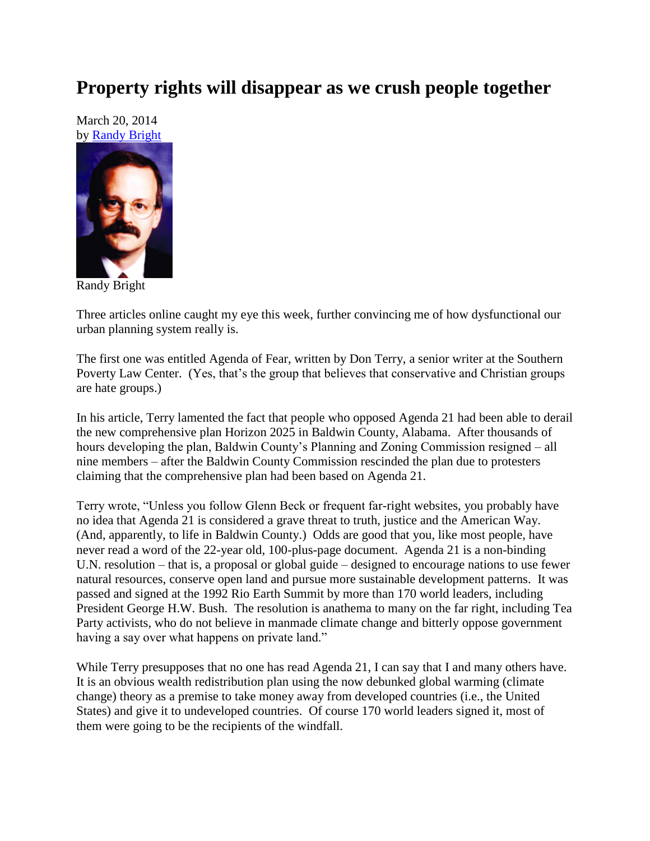## **Property rights will disappear as we crush people together**

March 20, 2014 by [Randy Bright](http://tulsabeacon.com/writers/randy-bright/)



Randy Bright

Three articles online caught my eye this week, further convincing me of how dysfunctional our urban planning system really is.

The first one was entitled Agenda of Fear, written by Don Terry, a senior writer at the Southern Poverty Law Center. (Yes, that's the group that believes that conservative and Christian groups are hate groups.)

In his article, Terry lamented the fact that people who opposed Agenda 21 had been able to derail the new comprehensive plan Horizon 2025 in Baldwin County, Alabama. After thousands of hours developing the plan, Baldwin County's Planning and Zoning Commission resigned – all nine members – after the Baldwin County Commission rescinded the plan due to protesters claiming that the comprehensive plan had been based on Agenda 21.

Terry wrote, "Unless you follow Glenn Beck or frequent far-right websites, you probably have no idea that Agenda 21 is considered a grave threat to truth, justice and the American Way. (And, apparently, to life in Baldwin County.) Odds are good that you, like most people, have never read a word of the 22-year old, 100-plus-page document. Agenda 21 is a non-binding U.N. resolution – that is, a proposal or global guide – designed to encourage nations to use fewer natural resources, conserve open land and pursue more sustainable development patterns. It was passed and signed at the 1992 Rio Earth Summit by more than 170 world leaders, including President George H.W. Bush. The resolution is anathema to many on the far right, including Tea Party activists, who do not believe in manmade climate change and bitterly oppose government having a say over what happens on private land."

While Terry presupposes that no one has read Agenda 21, I can say that I and many others have. It is an obvious wealth redistribution plan using the now debunked global warming (climate change) theory as a premise to take money away from developed countries (i.e., the United States) and give it to undeveloped countries. Of course 170 world leaders signed it, most of them were going to be the recipients of the windfall.